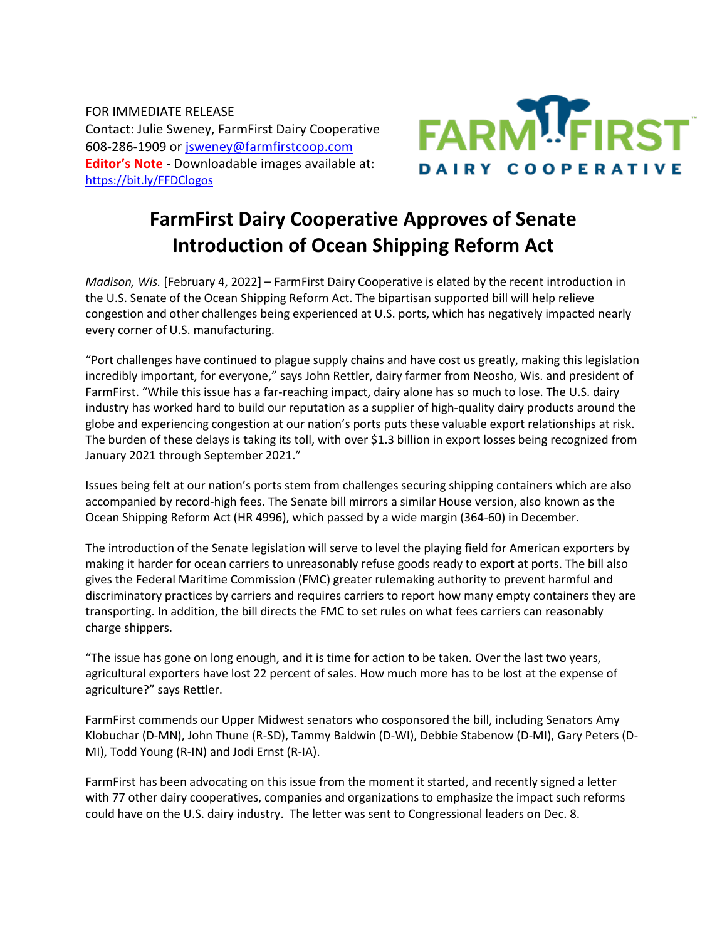FOR IMMEDIATE RELEASE Contact: Julie Sweney, FarmFirst Dairy Cooperative 608-286-1909 or [jsweney@farmfirstcoop.com](mailto:jsweney@farmfirstcoop.com) **Editor's Note** - Downloadable images available at: <https://bit.ly/FFDClogos>



## **FarmFirst Dairy Cooperative Approves of Senate Introduction of Ocean Shipping Reform Act**

*Madison, Wis.* [February 4, 2022] – FarmFirst Dairy Cooperative is elated by the recent introduction in the U.S. Senate of the Ocean Shipping Reform Act. The bipartisan supported bill will help relieve congestion and other challenges being experienced at U.S. ports, which has negatively impacted nearly every corner of U.S. manufacturing.

"Port challenges have continued to plague supply chains and have cost us greatly, making this legislation incredibly important, for everyone," says John Rettler, dairy farmer from Neosho, Wis. and president of FarmFirst. "While this issue has a far-reaching impact, dairy alone has so much to lose. The U.S. dairy industry has worked hard to build our reputation as a supplier of high-quality dairy products around the globe and experiencing congestion at our nation's ports puts these valuable export relationships at risk. The burden of these delays is taking its toll, with over \$1.3 billion in export losses being recognized from January 2021 through September 2021."

Issues being felt at our nation's ports stem from challenges securing shipping containers which are also accompanied by record-high fees. The Senate bill mirrors a similar House version, also known as the Ocean Shipping Reform Act (HR 4996), which passed by a wide margin (364-60) in December.

The introduction of the Senate legislation will serve to level the playing field for American exporters by making it harder for ocean carriers to unreasonably refuse goods ready to export at ports. The bill also gives the Federal Maritime Commission (FMC) greater rulemaking authority to prevent harmful and discriminatory practices by carriers and requires carriers to report how many empty containers they are transporting. In addition, the bill directs the FMC to set rules on what fees carriers can reasonably charge shippers.

"The issue has gone on long enough, and it is time for action to be taken. Over the last two years, agricultural exporters have lost 22 percent of sales. How much more has to be lost at the expense of agriculture?" says Rettler.

FarmFirst commends our Upper Midwest senators who cosponsored the bill, including Senators Amy Klobuchar (D-MN), John Thune (R-SD), Tammy Baldwin (D-WI), Debbie Stabenow (D-MI), Gary Peters (D-MI), Todd Young (R-IN) and Jodi Ernst (R-IA).

FarmFirst has been advocating on this issue from the moment it started, and recently signed a letter with 77 other dairy cooperatives, companies and organizations to emphasize the impact such reforms could have on the U.S. dairy industry. The letter was sent to Congressional leaders on Dec. 8.